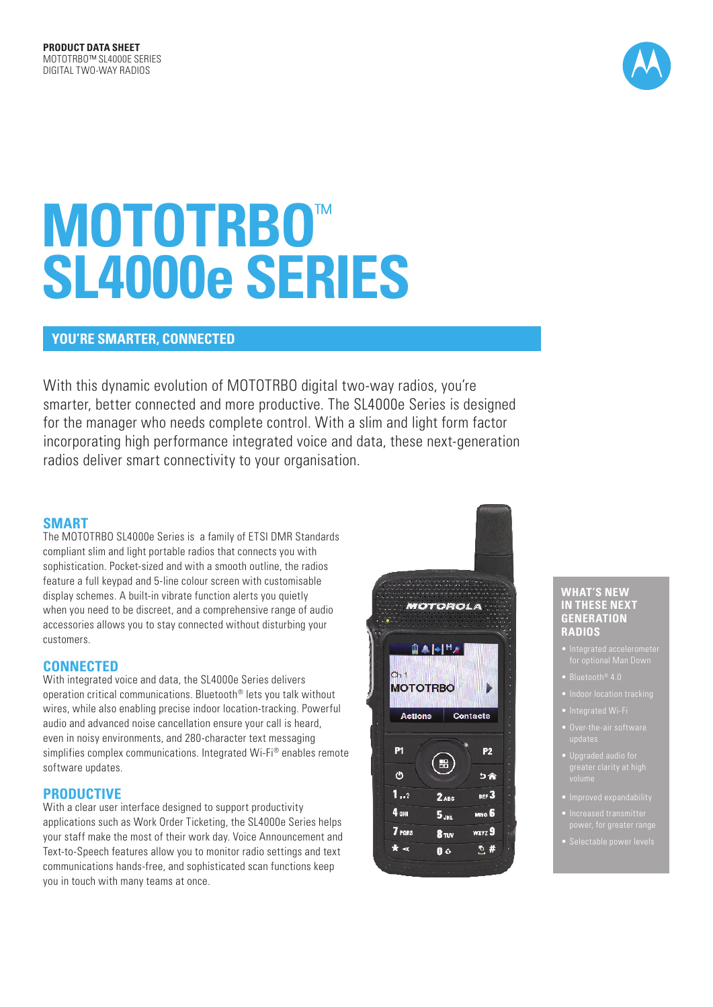

# **MOTOTRBO**™ **SL4000e SERIES**

## **YOU'RE SMARTER, CONNECTED**

With this dynamic evolution of MOTOTRBO digital two-way radios, you're smarter, better connected and more productive. The SL4000e Series is designed for the manager who needs complete control. With a slim and light form factor incorporating high performance integrated voice and data, these next-generation radios deliver smart connectivity to your organisation.

#### **SMART**

The MOTOTRBO SL4000e Series is a family of ETSI DMR Standards compliant slim and light portable radios that connects you with sophistication. Pocket-sized and with a smooth outline, the radios feature a full keypad and 5-line colour screen with customisable display schemes. A built-in vibrate function alerts you quietly when you need to be discreet, and a comprehensive range of audio accessories allows you to stay connected without disturbing your customers.

### **CONNECTED**

With integrated voice and data, the SL4000e Series delivers operation critical communications. Bluetooth® lets you talk without wires, while also enabling precise indoor location-tracking. Powerful audio and advanced noise cancellation ensure your call is heard, even in noisy environments, and 280-character text messaging simplifies complex communications. Integrated Wi-Fi® enables remote software updates.

#### **PRODUCTIVE**

With a clear user interface designed to support productivity applications such as Work Order Ticketing, the SL4000e Series helps your staff make the most of their work day. Voice Announcement and Text-to-Speech features allow you to monitor radio settings and text communications hands-free, and sophisticated scan functions keep you in touch with many teams at once.



#### **WHAT'S NEW IN THESE NEXT GENERATION RADIOS**

- 
- Bluetooth® 4.0
- 
- 
- 
- 
- 
- 
-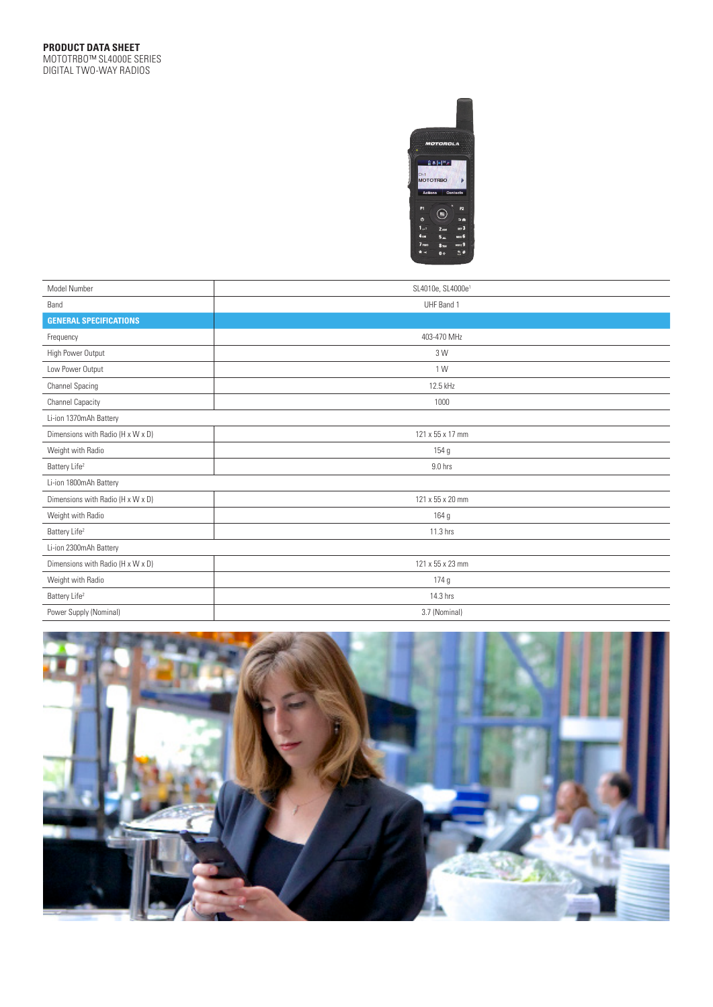

| Model Number                      | SL4010e, SL4000e <sup>1</sup> |  |  |  |  |  |
|-----------------------------------|-------------------------------|--|--|--|--|--|
| Band                              | UHF Band 1                    |  |  |  |  |  |
| <b>GENERAL SPECIFICATIONS</b>     |                               |  |  |  |  |  |
| Frequency                         | 403-470 MHz                   |  |  |  |  |  |
| High Power Output                 | 3 W                           |  |  |  |  |  |
| Low Power Output                  | 1 W                           |  |  |  |  |  |
| Channel Spacing                   | 12.5 kHz                      |  |  |  |  |  |
| <b>Channel Capacity</b>           | 1000                          |  |  |  |  |  |
| Li-ion 1370mAh Battery            |                               |  |  |  |  |  |
| Dimensions with Radio (H x W x D) | 121 x 55 x 17 mm              |  |  |  |  |  |
| Weight with Radio                 | 154 g                         |  |  |  |  |  |
| Battery Life <sup>2</sup>         | 9.0 hrs                       |  |  |  |  |  |
| Li-ion 1800mAh Battery            |                               |  |  |  |  |  |
| Dimensions with Radio (H x W x D) | 121 x 55 x 20 mm              |  |  |  |  |  |
| Weight with Radio                 | 164 <sub>g</sub>              |  |  |  |  |  |
| Battery Life <sup>2</sup>         | 11.3 hrs                      |  |  |  |  |  |
| Li-ion 2300mAh Battery            |                               |  |  |  |  |  |
| Dimensions with Radio (H x W x D) | 121 x 55 x 23 mm              |  |  |  |  |  |
| Weight with Radio                 | 174 <sub>g</sub>              |  |  |  |  |  |
| Battery Life <sup>2</sup>         | 14.3 hrs                      |  |  |  |  |  |
| Power Supply (Nominal)            | 3.7 (Nominal)                 |  |  |  |  |  |

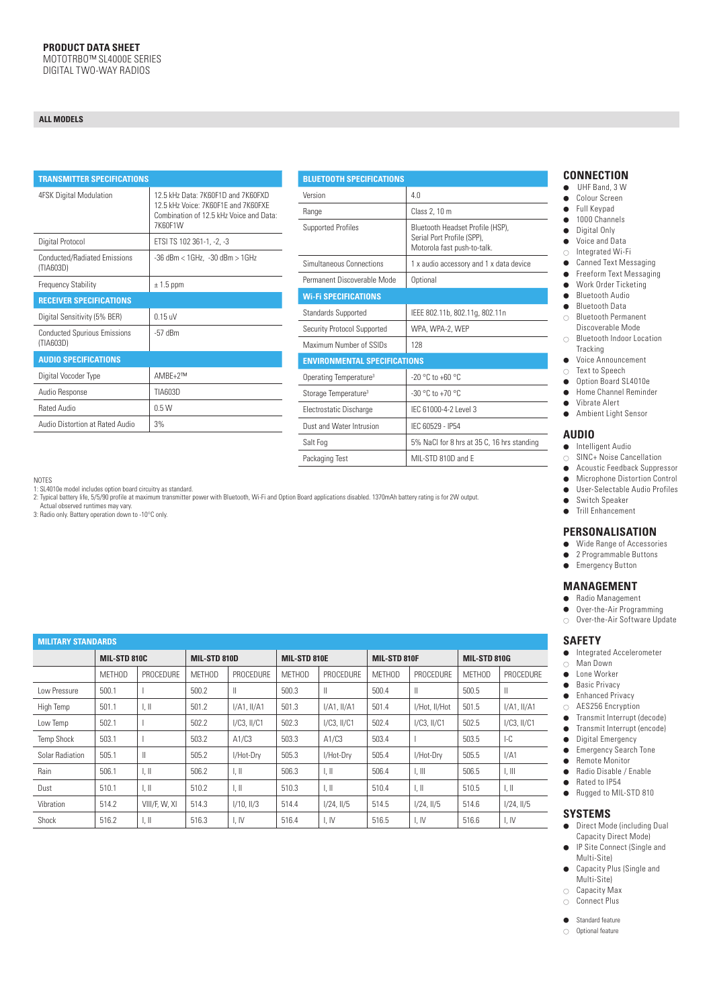#### **ALL MODELS**

| <b>TRANSMITTER SPECIFICATIONS</b>                |                                                                                                                                 |  |  |  |  |  |
|--------------------------------------------------|---------------------------------------------------------------------------------------------------------------------------------|--|--|--|--|--|
| 4FSK Digital Modulation                          | 12.5 kHz Data: 7K60F1D and 7K60FXD<br>12.5 kHz Voice: 7K60F1F and 7K60FXF<br>Combination of 12.5 kHz Voice and Data:<br>7K60F1W |  |  |  |  |  |
| Digital Protocol                                 | ETSI TS 102 361-1, -2, -3                                                                                                       |  |  |  |  |  |
| <b>Conducted/Radiated Emissions</b><br>(TIA603D) | -36 dBm < 1GHz, -30 dBm > 1GHz                                                                                                  |  |  |  |  |  |
| <b>Frequency Stability</b>                       | $\pm$ 1.5 ppm                                                                                                                   |  |  |  |  |  |
| <b>RECEIVER SPECIFICATIONS</b>                   |                                                                                                                                 |  |  |  |  |  |
| Digital Sensitivity (5% BER)                     | $0.15$ uV                                                                                                                       |  |  |  |  |  |
| <b>Conducted Spurious Emissions</b><br>(TIA603D) | $-57$ dBm                                                                                                                       |  |  |  |  |  |
| <b>AUDIO SPECIFICATIONS</b>                      |                                                                                                                                 |  |  |  |  |  |
| Digital Vocoder Type                             | AMBE+2™                                                                                                                         |  |  |  |  |  |
| Audio Response                                   | TIA603D                                                                                                                         |  |  |  |  |  |
| <b>Rated Audio</b>                               | 0.5W                                                                                                                            |  |  |  |  |  |
| Audio Distortion at Rated Audio                  | 3%                                                                                                                              |  |  |  |  |  |
|                                                  |                                                                                                                                 |  |  |  |  |  |

| <b>BLUETOOTH SPECIFICATIONS</b>     |                                                                                               |  |  |  |  |  |
|-------------------------------------|-----------------------------------------------------------------------------------------------|--|--|--|--|--|
| Version                             | 4 N                                                                                           |  |  |  |  |  |
| Range                               | Class 2, 10 m                                                                                 |  |  |  |  |  |
| <b>Supported Profiles</b>           | Bluetooth Headset Profile (HSP),<br>Serial Port Profile (SPP).<br>Motorola fast push-to-talk. |  |  |  |  |  |
| Simultaneous Connections            | 1 x audio accessory and 1 x data device                                                       |  |  |  |  |  |
| Permanent Discoverable Mode         | Optional                                                                                      |  |  |  |  |  |
| <b>Wi-Fi SPECIFICATIONS</b>         |                                                                                               |  |  |  |  |  |
| <b>Standards Supported</b>          | IEEE 802.11b, 802.11g, 802.11n                                                                |  |  |  |  |  |
| Security Protocol Supported         | WPA, WPA-2, WEP                                                                               |  |  |  |  |  |
| Maximum Number of SSIDs             | 128                                                                                           |  |  |  |  |  |
| <b>ENVIRONMENTAL SPECIFICATIONS</b> |                                                                                               |  |  |  |  |  |
| Operating Temperature <sup>3</sup>  | $-20$ °C to $+60$ °C                                                                          |  |  |  |  |  |
| Storage Temperature <sup>3</sup>    | $-30 °C$ to $+70 °C$                                                                          |  |  |  |  |  |
| Electrostatic Discharge             | IFC 61000-4-2 Level 3                                                                         |  |  |  |  |  |
| Dust and Water Intrusion            | IFC 60529 - IP54                                                                              |  |  |  |  |  |
| Salt Fog                            | 5% NaCl for 8 hrs at 35 C, 16 hrs standing                                                    |  |  |  |  |  |
| Packaging Test                      | MII-STD 810D and F                                                                            |  |  |  |  |  |

NOTES

1: SL4010e model includes option board circuitry as standard.

2: Typical battery life, 5/5/90 profile at maximum transmitter power with Bluetooth, Wi-Fi and Option Board applications disabled. 1370mAh battery rating is for 2W output.

Actual observed runtimes may vary.

3: Radio only. Battery operation down to -10°C only.

## **CONNECTION**<br>• UHF Band, 3 W

- UHF Band, 3 W
- Colour Screen<br>● Full Kevpad
- Full Keypad
- 1000 Channels
- Digital Only<br>● Voice and Da ⃝ Voice and Data
- ⃝ Integrated Wi-Fi
- Canned Text Messaging
- 
- Freeform Text Messaging
- Work Order Ticketing<br>● Bluetooth Audio
- Bluetooth Audio<br>● Bluetooth Data
- ⃝ Bluetooth Data
- ⃝ Bluetooth Permanent Discoverable Mode
- ⃝ Bluetooth Indoor Location Tracking
- ⃝ Voice Announcement
- ⃝ Text to Speech
- Option Board SL4010e
- ⃝ Home Channel Reminder
- ⃝ Vibrate Alert ⃝ Ambient Light Sensor

#### **AUDIO**

- ⃝ Intelligent Audio
- $\bigcirc$  SINC+ Noise Cancellation
- Acoustic Feedback Suppressor
- Microphone Distortion Control<br>● User-Selectable Audio Profiles ⃝ User-Selectable Audio Profiles
- 
- Switch Speaker<br>● Trill Enhancemen ⃝ Trill Enhancement

#### **PERSONALISATION**

- ⃝ Wide Range of Accessories
- 2 Programmable Buttons
- Emergency Button

#### **MANAGEMENT**

- ⃝ Radio Management
- Over-the-Air Programming<br>○ Over-the-Air Software Upd
- Over-the-Air Software Update

#### **SAFETY**

- ⃝ Integrated Accelerometer
- ⃝ Man Down
- Lone Worker<br>● Basic Privacy
- **Basic Privacy**
- Enhanced Privacy
- ◯ AES256 Encryption
- ⃝ Transmit Interrupt (decode)
- Transmit Interrupt (encode)<br>● Digital Emergency
- Digital Emergency
- Emergency Search Tone
- Remote Monitor
- Radio Disable / Enable
- Rated to IP54 ● Rugged to MIL-STD 810
- 

#### **SYSTEMS**

- ⃝ Direct Mode (including Dual Capacity Direct Mode)
- IP Site Connect (Single and Multi-Site)
- ⃝ Capacity Plus (Single and Multi-Site)
- $\circ$  Capacity Max
- ⃝ Connect Plus
- Standard feature
- ⃝ Optional feature

| <b>MILITARY STANDARDS</b> |              |                           |               |                           |               |                           |               |                           |               |                           |  |  |
|---------------------------|--------------|---------------------------|---------------|---------------------------|---------------|---------------------------|---------------|---------------------------|---------------|---------------------------|--|--|
|                           | MIL-STD 810C |                           | MIL-STD 810D  |                           | MIL-STD 810E  |                           | MIL-STD 810F  |                           | MIL-STD 810G  |                           |  |  |
|                           | METHOD       | PROCEDURE                 | <b>METHOD</b> | PROCEDURE                 | <b>METHOD</b> | <b>PROCEDURE</b>          | <b>METHOD</b> | PROCEDURE                 | <b>METHOD</b> | PROCEDURE                 |  |  |
| Low Pressure              | 500.1        |                           | 500.2         | Ш                         | 500.3         | $\parallel$               | 500.4         | Ш                         | 500.5         | $\parallel$               |  |  |
| High Temp                 | 501.1        | $\mathbb{L}$              | 501.2         | $I/A1.$ $II/A1$           | 501.3         | $I/A1.$ $II/A1$           | 501.4         | I/Hot, II/Hot             | 501.5         | I/A1, II/A1               |  |  |
| Low Temp                  | 502.1        |                           | 502.2         | $I/C3$ , $II/C1$          | 502.3         | $I/C3$ , $II/C1$          | 502.4         | $I/C3$ , $II/C1$          | 502.5         | $I/C3$ , $II/C1$          |  |  |
| <b>Temp Shock</b>         | 503.1        |                           | 503.2         | A1/C3                     | 503.3         | A1/C3                     | 503.4         |                           | 503.5         | $-LC$                     |  |  |
| Solar Radiation           | 505.1        | $\parallel$               | 505.2         | I/Hot-Drv                 | 505.3         | I/Hot-Drv                 | 505.4         | I/Hot-Drv                 | 505.5         | I/A1                      |  |  |
| Rain                      | 506.1        | $\parallel$ , $\parallel$ | 506.2         | $\parallel$ , $\parallel$ | 506.3         | $\parallel$ , $\parallel$ | 506.4         | $\parallel$ , $\parallel$ | 506.5         | $\parallel$ , $\parallel$ |  |  |
| Dust                      | 510.1        | $\mathbb{L}$              | 510.2         | $\parallel$ . $\parallel$ | 510.3         | $\mathbb{L} \mathbb{H}$   | 510.4         | $\parallel$ , $\parallel$ | 510.5         | $\parallel$ , $\parallel$ |  |  |
| Vibration                 | 514.2        | VIII/F, W, XI             | 514.3         | $1/10$ , $11/3$           | 514.4         | $I/24$ , $II/5$           | 514.5         | $1/24$ , $1/5$            | 514.6         | 1/24, 11/5                |  |  |
| Shock                     | 516.2        | $\parallel$ , $\parallel$ | 516.3         | I, IV                     | 516.4         | I, IV                     | 516.5         | I, IV                     | 516.6         | I, IV                     |  |  |

- 
- 
-